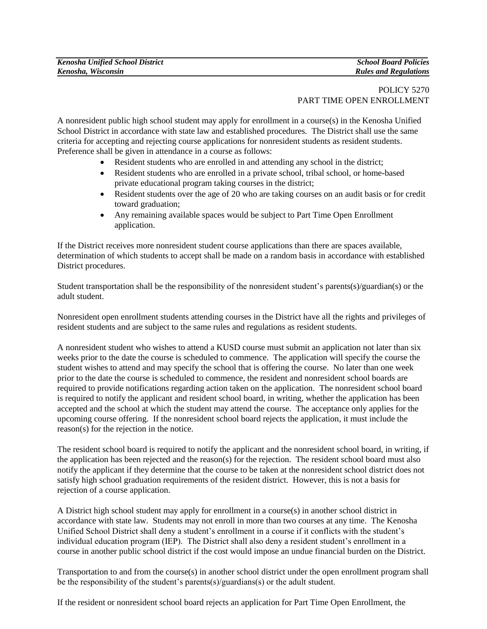## POLICY 5270 PART TIME OPEN ENROLLMENT

A nonresident public high school student may apply for enrollment in a course(s) in the Kenosha Unified School District in accordance with state law and established procedures. The District shall use the same criteria for accepting and rejecting course applications for nonresident students as resident students. Preference shall be given in attendance in a course as follows:

- Resident students who are enrolled in and attending any school in the district;
- Resident students who are enrolled in a private school, tribal school, or home-based private educational program taking courses in the district;
- Resident students over the age of 20 who are taking courses on an audit basis or for credit toward graduation;
- Any remaining available spaces would be subject to Part Time Open Enrollment application.

If the District receives more nonresident student course applications than there are spaces available, determination of which students to accept shall be made on a random basis in accordance with established District procedures.

Student transportation shall be the responsibility of the nonresident student's parents(s)/guardian(s) or the adult student.

Nonresident open enrollment students attending courses in the District have all the rights and privileges of resident students and are subject to the same rules and regulations as resident students.

A nonresident student who wishes to attend a KUSD course must submit an application not later than six weeks prior to the date the course is scheduled to commence. The application will specify the course the student wishes to attend and may specify the school that is offering the course. No later than one week prior to the date the course is scheduled to commence, the resident and nonresident school boards are required to provide notifications regarding action taken on the application. The nonresident school board is required to notify the applicant and resident school board, in writing, whether the application has been accepted and the school at which the student may attend the course. The acceptance only applies for the upcoming course offering. If the nonresident school board rejects the application, it must include the reason(s) for the rejection in the notice.

The resident school board is required to notify the applicant and the nonresident school board, in writing, if the application has been rejected and the reason(s) for the rejection. The resident school board must also notify the applicant if they determine that the course to be taken at the nonresident school district does not satisfy high school graduation requirements of the resident district. However, this is not a basis for rejection of a course application.

A District high school student may apply for enrollment in a course(s) in another school district in accordance with state law. Students may not enroll in more than two courses at any time. The Kenosha Unified School District shall deny a student's enrollment in a course if it conflicts with the student's individual education program (IEP). The District shall also deny a resident student's enrollment in a course in another public school district if the cost would impose an undue financial burden on the District.

Transportation to and from the course(s) in another school district under the open enrollment program shall be the responsibility of the student's parents(s)/guardians(s) or the adult student.

If the resident or nonresident school board rejects an application for Part Time Open Enrollment, the